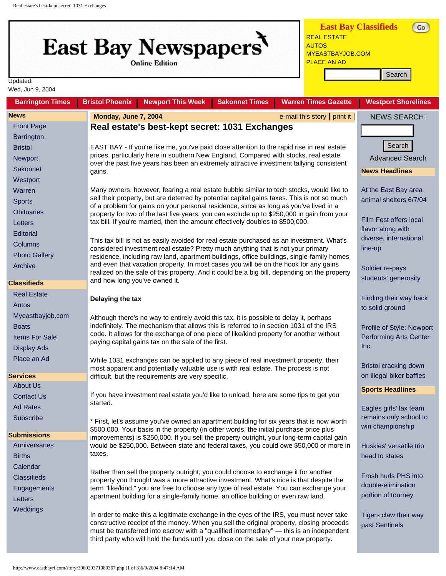## <span id="page-0-0"></span>East Bay Newspapers

**Online Edition** 

**East Bay Classifieds** [REAL ESTATE](http://classifieds.eastbayri.com/classSearch.php?category_id=2) [AUTOS](http://classifieds.eastbayri.com/classSearch.php?category_id=1)  [MYEASTBAYJOB.COM](http://classifieds.eastbayri.com/classSearch.php?category_id=4)  [PLACE AN AD](http://www.eastbayri.com/services/classifieds.php)

 $\left(\begin{array}{c} 0 \\ 0 \end{array}\right)$ 

| Updated:<br>Wed, Jun 9, 2004           |                                                                                                                                                                                                                                                                                                                                                                          |                                         |
|----------------------------------------|--------------------------------------------------------------------------------------------------------------------------------------------------------------------------------------------------------------------------------------------------------------------------------------------------------------------------------------------------------------------------|-----------------------------------------|
| <b>Barrington Times</b>                | <b>Newport This Week</b><br><b>Sakonnet Times</b><br><b>Warren Times Gazette</b><br><b>Bristol Phoenix</b>                                                                                                                                                                                                                                                               | <b>Westport Shorelines</b>              |
| <b>News</b>                            | Monday, June 7, 2004<br>e-mail this story   print it                                                                                                                                                                                                                                                                                                                     | <b>NEWS SEARCH:</b>                     |
| <b>Front Page</b><br><b>Barrington</b> | Real estate's best-kept secret: 1031 Exchanges                                                                                                                                                                                                                                                                                                                           |                                         |
| <b>Bristol</b><br>Newport              | EAST BAY - If you're like me, you've paid close attention to the rapid rise in real estate<br>prices, particularly here in southern New England. Compared with stocks, real estate<br>over the past five years has been an extremely attractive investment tallying consistent                                                                                           | Search<br><b>Advanced Search</b>        |
| Sakonnet                               | gains.                                                                                                                                                                                                                                                                                                                                                                   | <b>News Headlines</b>                   |
| Westport                               |                                                                                                                                                                                                                                                                                                                                                                          |                                         |
| Warren                                 | Many owners, however, fearing a real estate bubble similar to tech stocks, would like to                                                                                                                                                                                                                                                                                 | At the East Bay area                    |
| <b>Sports</b>                          | sell their property, but are deterred by potential capital gains taxes. This is not so much<br>of a problem for gains on your personal residence, since as long as you've lived in a                                                                                                                                                                                     | animal shelters 6/7/04                  |
| <b>Obituaries</b>                      | property for two of the last five years, you can exclude up to \$250,000 in gain from your                                                                                                                                                                                                                                                                               |                                         |
| Letters                                | tax bill. If you're married, then the amount effectively doubles to \$500,000.                                                                                                                                                                                                                                                                                           | Film Fest offers local                  |
| Editorial                              |                                                                                                                                                                                                                                                                                                                                                                          | flavor along with                       |
| Columns                                | This tax bill is not as easily avoided for real estate purchased as an investment. What's                                                                                                                                                                                                                                                                                | diverse, international                  |
| <b>Photo Gallery</b>                   | considered investment real estate? Pretty much anything that is not your primary<br>residence, including raw land, apartment buildings, office buildings, single-family homes                                                                                                                                                                                            | line-up                                 |
| Archive                                | and even that vacation property. In most cases you will be on the hook for any gains                                                                                                                                                                                                                                                                                     |                                         |
|                                        | realized on the sale of this property. And it could be a big bill, depending on the property                                                                                                                                                                                                                                                                             | Soldier re-pays                         |
| <b>Classifieds</b>                     | and how long you've owned it.                                                                                                                                                                                                                                                                                                                                            | students' generosity                    |
| <b>Real Estate</b>                     |                                                                                                                                                                                                                                                                                                                                                                          | Finding their way back                  |
| Autos                                  | Delaying the tax                                                                                                                                                                                                                                                                                                                                                         | to solid ground                         |
| Myeastbayjob.com                       | Although there's no way to entirely avoid this tax, it is possible to delay it, perhaps                                                                                                                                                                                                                                                                                  |                                         |
| <b>Boats</b>                           | indefinitely. The mechanism that allows this is referred to in section 1031 of the IRS                                                                                                                                                                                                                                                                                   | Profile of Style: Newport               |
| <b>Items For Sale</b>                  | code. It allows for the exchange of one piece of like/kind property for another without                                                                                                                                                                                                                                                                                  | <b>Performing Arts Center</b>           |
| <b>Display Ads</b>                     | paying capital gains tax on the sale of the first.                                                                                                                                                                                                                                                                                                                       | Inc.                                    |
| Place an Ad                            |                                                                                                                                                                                                                                                                                                                                                                          |                                         |
|                                        | While 1031 exchanges can be applied to any piece of real investment property, their<br>most apparent and potentially valuable use is with real estate. The process is not                                                                                                                                                                                                | Bristol cracking down                   |
| <b>Services</b>                        | difficult, but the requirements are very specific.                                                                                                                                                                                                                                                                                                                       | on illegal biker baffles                |
| <b>About Us</b>                        | If you have investment real estate you'd like to unload, here are some tips to get you                                                                                                                                                                                                                                                                                   | <b>Sports Headlines</b>                 |
| <b>Contact Us</b>                      | started.                                                                                                                                                                                                                                                                                                                                                                 |                                         |
| <b>Ad Rates</b>                        |                                                                                                                                                                                                                                                                                                                                                                          | Eagles girls' lax team                  |
| Subscribe                              | * First, let's assume you've owned an apartment building for six years that is now worth                                                                                                                                                                                                                                                                                 | remains only school to                  |
| <b>Submissions</b>                     | \$500,000. Your basis in the property (in other words, the initial purchase price plus                                                                                                                                                                                                                                                                                   | win championship                        |
| Anniversaries                          | improvements) is \$250,000. If you sell the property outright, your long-term capital gain<br>would be \$250,000. Between state and federal taxes, you could owe \$50,000 or more in                                                                                                                                                                                     | Huskies' versatile trio                 |
| <b>Births</b>                          | taxes.                                                                                                                                                                                                                                                                                                                                                                   | head to states                          |
| Calendar                               |                                                                                                                                                                                                                                                                                                                                                                          |                                         |
| <b>Classifieds</b>                     | Rather than sell the property outright, you could choose to exchange it for another                                                                                                                                                                                                                                                                                      | Frosh hurls PHS into                    |
|                                        | property you thought was a more attractive investment. What's nice is that despite the<br>term "like/kind," you are free to choose any type of real estate. You can exchange your                                                                                                                                                                                        | double-elimination                      |
| Engagements                            | apartment building for a single-family home, an office building or even raw land.                                                                                                                                                                                                                                                                                        | portion of tourney                      |
| Letters                                |                                                                                                                                                                                                                                                                                                                                                                          |                                         |
| Weddings                               | In order to make this a legitimate exchange in the eyes of the IRS, you must never take<br>constructive receipt of the money. When you sell the original property, closing proceeds<br>must be transferred into escrow with a "qualified intermediary" — this is an independent<br>third party who will hold the funds until you close on the sale of your new property. | Tigers claw their way<br>past Sentinels |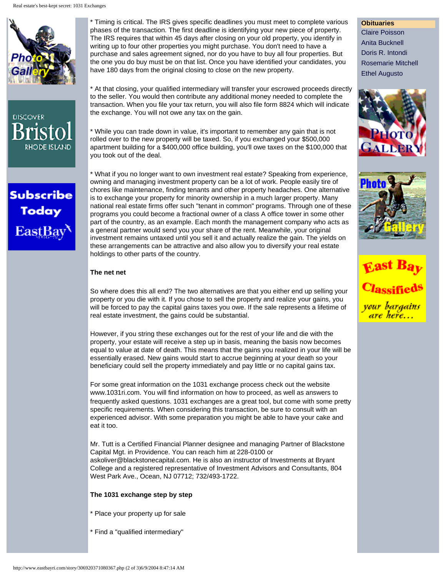





\* Timing is critical. The IRS gives specific deadlines you must meet to complete various phases of the transaction. The first deadline is identifying your new piece of property. The IRS requires that within 45 days after closing on your old property, you identify in writing up to four other properties you might purchase. You don't need to have a purchase and sales agreement signed, nor do you have to buy all four properties. But the one you do buy must be on that list. Once you have identified your candidates, you have 180 days from the original closing to close on the new property.

\* At that closing, your qualified intermediary will transfer your escrowed proceeds directly to the seller. You would then contribute any additional money needed to complete the transaction. When you file your tax return, you will also file form 8824 which will indicate the exchange. You will not owe any tax on the gain.

\* While you can trade down in value, it's important to remember any gain that is not rolled over to the new property will be taxed. So, if you exchanged your \$500,000 apartment building for a \$400,000 office building, you'll owe taxes on the \$100,000 that you took out of the deal.

\* What if you no longer want to own investment real estate? Speaking from experience, owning and managing investment property can be a lot of work. People easily tire of chores like maintenance, finding tenants and other property headaches. One alternative is to exchange your property for minority ownership in a much larger property. Many national real estate firms offer such "tenant in common" programs. Through one of these programs you could become a fractional owner of a class A office tower in some other part of the country, as an example. Each month the management company who acts as a general partner would send you your share of the rent. Meanwhile, your original investment remains untaxed until you sell it and actually realize the gain. The yields on these arrangements can be attractive and also allow you to diversify your real estate holdings to other parts of the country.

## **The net net**

So where does this all end? The two alternatives are that you either end up selling your property or you die with it. If you chose to sell the property and realize your gains, you will be forced to pay the capital gains taxes you owe. If the sale represents a lifetime of real estate investment, the gains could be substantial.

However, if you string these exchanges out for the rest of your life and die with the property, your estate will receive a step up in basis, meaning the basis now becomes equal to value at date of death. This means that the gains you realized in your life will be essentially erased. New gains would start to accrue beginning at your death so your beneficiary could sell the property immediately and pay little or no capital gains tax.

For some great information on the 1031 exchange process check out the website [www.1031ri.com.](http://www.1031ri.com/) You will find information on how to proceed, as well as answers to frequently asked questions. 1031 exchanges are a great tool, but come with some pretty specific requirements. When considering this transaction, be sure to consult with an experienced advisor. With some preparation you might be able to have your cake and eat it too.

Mr. Tutt is a Certified Financial Planner designee and managing Partner of Blackstone Capital Mgt. in Providence. You can reach him at 228-0100 or askoliver@blackstonecapital.com. He is also an instructor of Investments at Bryant College and a registered representative of Investment Advisors and Consultants, 804 West Park Ave., Ocean, NJ 07712; 732/493-1722.

## **The 1031 exchange step by step**

- \* Place your property up for sale
- \* Find a "qualified intermediary"

**Obituaries**  [Claire Poisson](http://www.eastbayri.com/story/336364117274185.php) [Anita Bucknell](http://www.eastbayri.com/story/347505108697824.php) [Doris R. Intondi](http://www.eastbayri.com/story/291800151668190.php) [Rosemarie Mitchell](http://www.eastbayri.com/story/302941143180390.php) [Ethel Augusto](http://www.eastbayri.com/story/314082134692590.php)





<mark>your bargains</mark> e here...